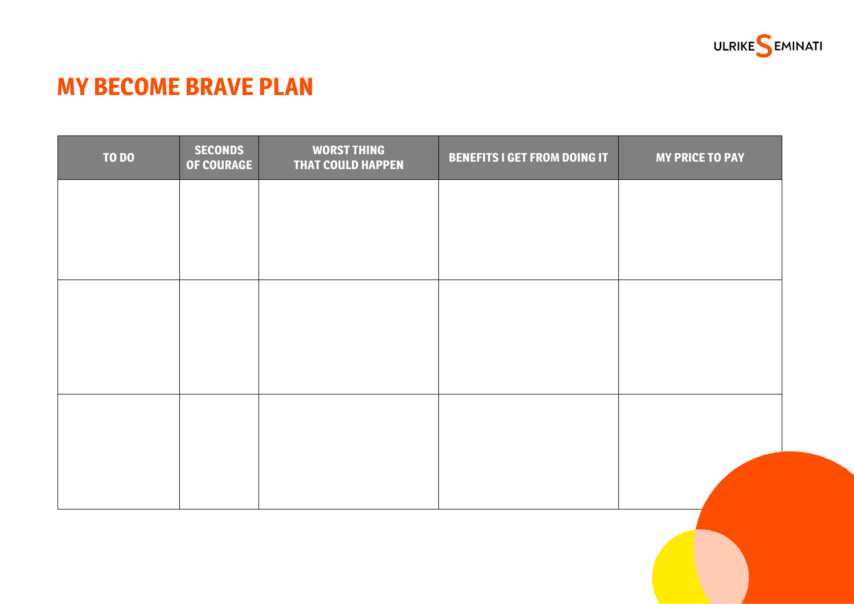

# **MY BECOME BRAVE PLAN**

| <b>TO DO</b> | <b>SECONDS</b><br><b>OF COURAGE</b> | <b>WORST THING</b><br><b>THAT COULD HAPPEN</b> | <b>BENEFITS I GET FROM DOING IT</b> | <b>MY PRICE TO PAY</b> |
|--------------|-------------------------------------|------------------------------------------------|-------------------------------------|------------------------|
|              |                                     |                                                |                                     |                        |
|              |                                     |                                                |                                     |                        |
|              |                                     |                                                |                                     |                        |
|              |                                     |                                                |                                     |                        |
|              |                                     |                                                |                                     |                        |
|              |                                     |                                                |                                     |                        |
|              |                                     |                                                |                                     |                        |
|              |                                     |                                                |                                     |                        |